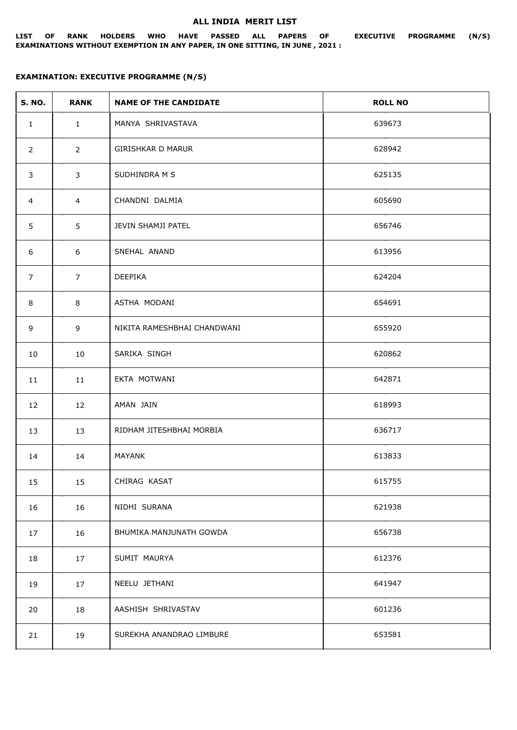## **ALL INDIA MERIT LIST**

## **LIST OF RANK HOLDERS WHO HAVE PASSED ALL PAPERS OF EXECUTIVE PROGRAMME (N/S) EXAMINATIONS WITHOUT EXEMPTION IN ANY PAPER, IN ONE SITTING, IN JUNE , 2021 :**

## **EXAMINATION: EXECUTIVE PROGRAMME (N/S)**

| <b>S. NO.</b>  | <b>RANK</b>    | <b>NAME OF THE CANDIDATE</b> | <b>ROLL NO</b> |
|----------------|----------------|------------------------------|----------------|
| $\mathbf{1}$   | $\mathbf{1}$   | MANYA SHRIVASTAVA            | 639673         |
| $\overline{2}$ | $\overline{2}$ | GIRISHKAR D MARUR            | 628942         |
| 3              | 3              | SUDHINDRA M S                | 625135         |
| $\overline{4}$ | $\overline{4}$ | CHANDNI DALMIA               | 605690         |
| 5              | 5              | JEVIN SHAMJI PATEL           | 656746         |
| 6              | 6              | SNEHAL ANAND                 | 613956         |
| $\overline{7}$ | $\overline{7}$ | DEEPIKA                      | 624204         |
| 8              | 8              | ASTHA MODANI                 | 654691         |
| 9              | 9              | NIKITA RAMESHBHAI CHANDWANI  | 655920         |
| 10             | 10             | SARIKA SINGH                 | 620862         |
| 11             | 11             | EKTA MOTWANI                 | 642871         |
| 12             | 12             | AMAN JAIN                    | 618993         |
| 13             | 13             | RIDHAM JITESHBHAI MORBIA     | 636717         |
| 14             | 14             | MAYANK                       | 613833         |
| 15             | 15             | CHIRAG KASAT                 | 615755         |
| 16             | 16             | NIDHI SURANA                 | 621938         |
| 17             | 16             | BHUMIKA MANJUNATH GOWDA      | 656738         |
| 18             | 17             | SUMIT MAURYA                 | 612376         |
| 19             | 17             | NEELU JETHANI                | 641947         |
| 20             | 18             | AASHISH SHRIVASTAV           | 601236         |
| 21             | 19             | SUREKHA ANANDRAO LIMBURE     | 653581         |